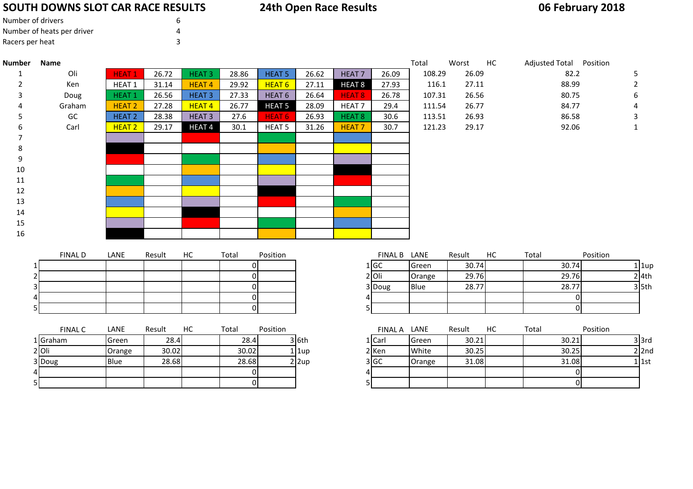## **SOUTH DOWNS SLOT CAR RACE RESULTS**

| Number of drivers          | 6 |
|----------------------------|---|
| Number of heats per driver | Δ |
| Racers per heat            |   |

4

5

## **24th Open Race Results**

## **06 February 2018**

| <b>Number</b> | Name           |               |        |                   |                     |                   |                         |                   |              | Total  | Worst  | HC | Adjusted Total Position |                |                |
|---------------|----------------|---------------|--------|-------------------|---------------------|-------------------|-------------------------|-------------------|--------------|--------|--------|----|-------------------------|----------------|----------------|
| 1             | Oli            | <b>HEAT1</b>  | 26.72  | <b>HEAT3</b>      | 28.86               | <b>HEAT 5</b>     | 26.62                   | HEAT <sub>7</sub> | 26.09        | 108.29 | 26.09  |    |                         | 82.2           | 5              |
| 2             | Ken            | HEAT 1        | 31.14  | <b>HEAT4</b>      | 29.92               | HEAT <sub>6</sub> | 27.11                   | HEAT <sub>8</sub> | 27.93        | 116.1  | 27.11  |    | 88.99                   |                | $\overline{2}$ |
| 3             | Doug           | <b>HEAT1</b>  | 26.56  | <b>HEAT3</b>      | 27.33               | HEAT <sub>6</sub> | 26.64                   | HEAT 8            | 26.78        | 107.31 | 26.56  |    | 80.75                   |                | 6              |
|               | Graham         | <b>HEAT 2</b> | 27.28  | <b>HEAT4</b>      | 26.77               | <b>HEAT 5</b>     | 28.09                   | HEAT <sub>7</sub> | 29.4         | 111.54 | 26.77  |    | 84.77                   |                |                |
|               | GC             | <b>HEAT 2</b> | 28.38  | <b>HEAT3</b>      | 27.6                | HEAT <sub>6</sub> | 26.93                   | HEAT <sub>8</sub> | 30.6         | 113.51 | 26.93  |    | 86.58                   |                | 3              |
|               | Carl           | <b>HEAT 2</b> | 29.17  | HEAT <sub>4</sub> | 30.1                | HEAT <sub>5</sub> | 31.26                   | <b>HEAT7</b>      | 30.7         | 121.23 | 29.17  |    | 92.06                   |                |                |
|               |                |               |        |                   |                     |                   |                         |                   |              |        |        |    |                         |                |                |
|               |                |               |        |                   |                     |                   |                         |                   |              |        |        |    |                         |                |                |
| 9             |                |               |        |                   |                     |                   |                         |                   |              |        |        |    |                         |                |                |
| 10            |                |               |        |                   |                     |                   |                         |                   |              |        |        |    |                         |                |                |
| 11            |                |               |        |                   |                     |                   |                         |                   |              |        |        |    |                         |                |                |
| $12\,$        |                |               |        |                   |                     |                   |                         |                   |              |        |        |    |                         |                |                |
| 13            |                |               |        |                   |                     |                   |                         |                   |              |        |        |    |                         |                |                |
| 14            |                |               |        |                   |                     |                   |                         |                   |              |        |        |    |                         |                |                |
| 15            |                |               |        |                   |                     |                   |                         |                   |              |        |        |    |                         |                |                |
| 16            |                |               |        |                   |                     |                   |                         |                   |              |        |        |    |                         |                |                |
|               |                |               |        |                   |                     |                   |                         |                   |              |        |        |    |                         |                |                |
|               | <b>FINAL D</b> | LANE          | Result | HC                | Total               | Position          |                         |                   | FINAL B LANE |        | Result | HC | Total                   | Position       |                |
|               |                |               |        |                   | 01                  |                   |                         |                   | 1 GC         | Green  | 30.74  |    | 30.74                   |                | $1$   1up      |
|               |                |               |        |                   | 0                   |                   |                         |                   | $2$ Oli      | Orange | 29.76  |    | 29.76                   |                | $2$ 4th        |
|               |                |               |        |                   | 0                   |                   |                         |                   | 3 Doug       | Blue   | 28.77  |    | 28.77                   |                | $3$ 5th        |
|               |                |               |        |                   | 0<br>$\overline{0}$ |                   |                         |                   |              |        |        |    |                         | $\overline{0}$ |                |
|               |                |               |        |                   |                     |                   |                         | 5                 |              |        |        |    |                         | $\overline{0}$ |                |
|               | <b>FINAL C</b> | LANE          | Result | HC                | Total               | Position          |                         |                   | FINAL A LANE |        | Result | HC | Total                   | Position       |                |
|               | 1 Graham       | Green         | 28.4   |                   | 28.4                |                   | $3$ 6th                 |                   | 1 Carl       | Green  | 30.21  |    | 30.21                   |                | $3$ $3rd$      |
|               | $2$ Oli        | Orange        | 30.02  |                   | 30.02               |                   | l 1up                   |                   | 2 Ken        | White  | 30.25  |    | 30.25                   |                | $2$  2nd       |
|               | 3 Doug         | Blue          | 28.68  |                   | 28.68               |                   | $2 \vert 2 \mathrm{up}$ |                   | 3 GC         | Orange | 31.08  |    | 31.08                   |                | $1$ 1st        |

<sup>0</sup> <sup>4</sup> <sup>0</sup>

<sup>0</sup> <sup>5</sup> <sup>0</sup>